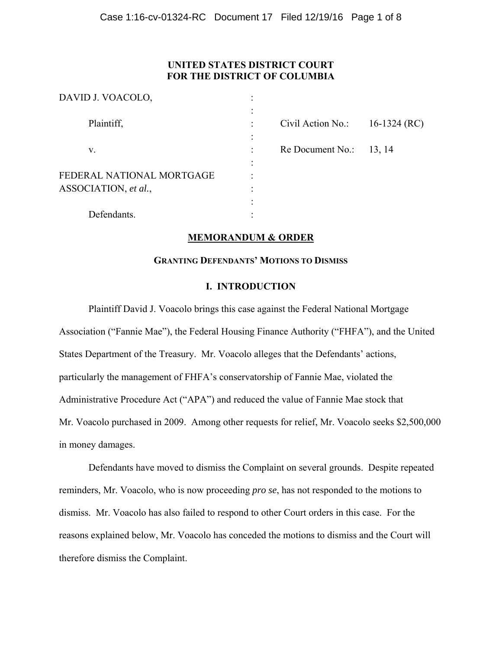# **UNITED STATES DISTRICT COURT FOR THE DISTRICT OF COLUMBIA**

 $\overline{O}$ 

| DAVID J. VOACOLO,                                 |           |                   |              |
|---------------------------------------------------|-----------|-------------------|--------------|
| Plaintiff,                                        |           | Civil Action No.: | 16-1324 (RC) |
| V.                                                |           | Re Document No.:  | 13, 14       |
| FEDERAL NATIONAL MORTGAGE<br>ASSOCIATION, et al., | $\bullet$ |                   |              |
| Defendants.                                       | ٠         |                   |              |

# **MEMORANDUM & ORDER**

# **GRANTING DEFENDANTS' MOTIONS TO DISMISS**

# **I. INTRODUCTION**

Plaintiff David J. Voacolo brings this case against the Federal National Mortgage Association ("Fannie Mae"), the Federal Housing Finance Authority ("FHFA"), and the United States Department of the Treasury. Mr. Voacolo alleges that the Defendants' actions, particularly the management of FHFA's conservatorship of Fannie Mae, violated the Administrative Procedure Act ("APA") and reduced the value of Fannie Mae stock that Mr. Voacolo purchased in 2009. Among other requests for relief, Mr. Voacolo seeks \$2,500,000 in money damages.

Defendants have moved to dismiss the Complaint on several grounds. Despite repeated reminders, Mr. Voacolo, who is now proceeding *pro se*, has not responded to the motions to dismiss. Mr. Voacolo has also failed to respond to other Court orders in this case. For the reasons explained below, Mr. Voacolo has conceded the motions to dismiss and the Court will therefore dismiss the Complaint.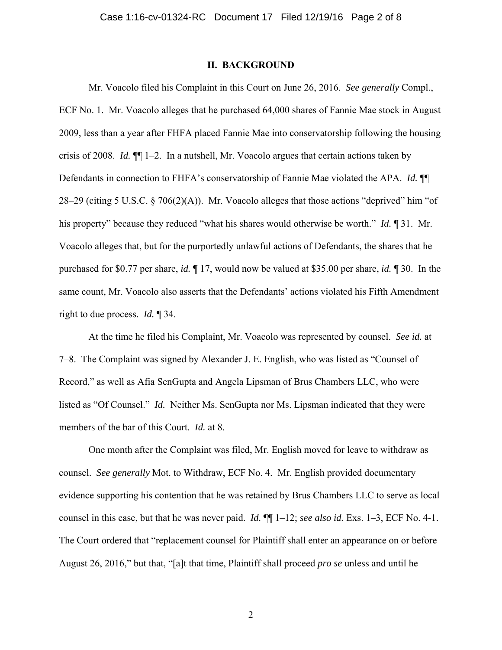# **II. BACKGROUND**

Mr. Voacolo filed his Complaint in this Court on June 26, 2016. *See generally* Compl., ECF No. 1. Mr. Voacolo alleges that he purchased 64,000 shares of Fannie Mae stock in August 2009, less than a year after FHFA placed Fannie Mae into conservatorship following the housing crisis of 2008. *Id.* ¶¶ 1–2. In a nutshell, Mr. Voacolo argues that certain actions taken by Defendants in connection to FHFA's conservatorship of Fannie Mae violated the APA. *Id.* ¶¶ 28–29 (citing 5 U.S.C. § 706(2)(A)). Mr. Voacolo alleges that those actions "deprived" him "of his property" because they reduced "what his shares would otherwise be worth." *Id.* ¶ 31. Mr. Voacolo alleges that, but for the purportedly unlawful actions of Defendants, the shares that he purchased for \$0.77 per share, *id.* ¶ 17, would now be valued at \$35.00 per share, *id.* ¶ 30. In the same count, Mr. Voacolo also asserts that the Defendants' actions violated his Fifth Amendment right to due process. *Id.* ¶ 34.

At the time he filed his Complaint, Mr. Voacolo was represented by counsel. *See id.* at 7–8. The Complaint was signed by Alexander J. E. English, who was listed as "Counsel of Record," as well as Afia SenGupta and Angela Lipsman of Brus Chambers LLC, who were listed as "Of Counsel." *Id.* Neither Ms. SenGupta nor Ms. Lipsman indicated that they were members of the bar of this Court. *Id.* at 8.

One month after the Complaint was filed, Mr. English moved for leave to withdraw as counsel. *See generally* Mot. to Withdraw, ECF No. 4. Mr. English provided documentary evidence supporting his contention that he was retained by Brus Chambers LLC to serve as local counsel in this case, but that he was never paid. *Id.* ¶¶ 1–12; *see also id.* Exs. 1–3, ECF No. 4-1. The Court ordered that "replacement counsel for Plaintiff shall enter an appearance on or before August 26, 2016," but that, "[a]t that time, Plaintiff shall proceed *pro se* unless and until he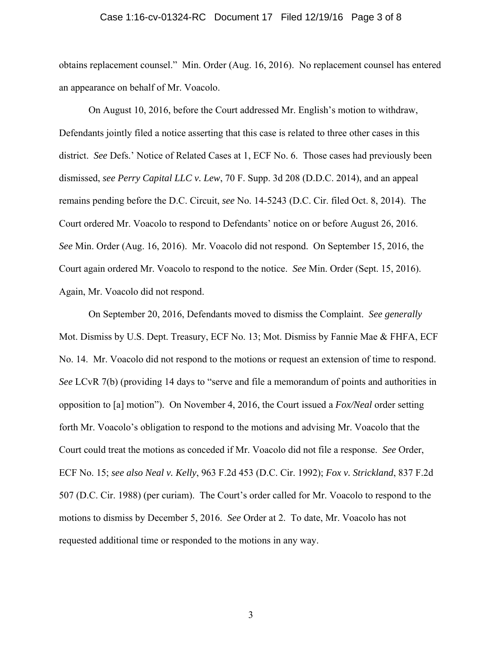#### Case 1:16-cv-01324-RC Document 17 Filed 12/19/16 Page 3 of 8

obtains replacement counsel." Min. Order (Aug. 16, 2016). No replacement counsel has entered an appearance on behalf of Mr. Voacolo.

On August 10, 2016, before the Court addressed Mr. English's motion to withdraw, Defendants jointly filed a notice asserting that this case is related to three other cases in this district. *See* Defs.' Notice of Related Cases at 1, ECF No. 6. Those cases had previously been dismissed, *see Perry Capital LLC v. Lew*, 70 F. Supp. 3d 208 (D.D.C. 2014), and an appeal remains pending before the D.C. Circuit, *see* No. 14-5243 (D.C. Cir. filed Oct. 8, 2014). The Court ordered Mr. Voacolo to respond to Defendants' notice on or before August 26, 2016. *See* Min. Order (Aug. 16, 2016). Mr. Voacolo did not respond. On September 15, 2016, the Court again ordered Mr. Voacolo to respond to the notice. *See* Min. Order (Sept. 15, 2016). Again, Mr. Voacolo did not respond.

On September 20, 2016, Defendants moved to dismiss the Complaint. *See generally*  Mot. Dismiss by U.S. Dept. Treasury, ECF No. 13; Mot. Dismiss by Fannie Mae & FHFA, ECF No. 14. Mr. Voacolo did not respond to the motions or request an extension of time to respond. *See* LCvR 7(b) (providing 14 days to "serve and file a memorandum of points and authorities in opposition to [a] motion"). On November 4, 2016, the Court issued a *Fox/Neal* order setting forth Mr. Voacolo's obligation to respond to the motions and advising Mr. Voacolo that the Court could treat the motions as conceded if Mr. Voacolo did not file a response. *See* Order, ECF No. 15; *see also Neal v. Kelly*, 963 F.2d 453 (D.C. Cir. 1992); *Fox v. Strickland*, 837 F.2d 507 (D.C. Cir. 1988) (per curiam). The Court's order called for Mr. Voacolo to respond to the motions to dismiss by December 5, 2016. *See* Order at 2. To date, Mr. Voacolo has not requested additional time or responded to the motions in any way.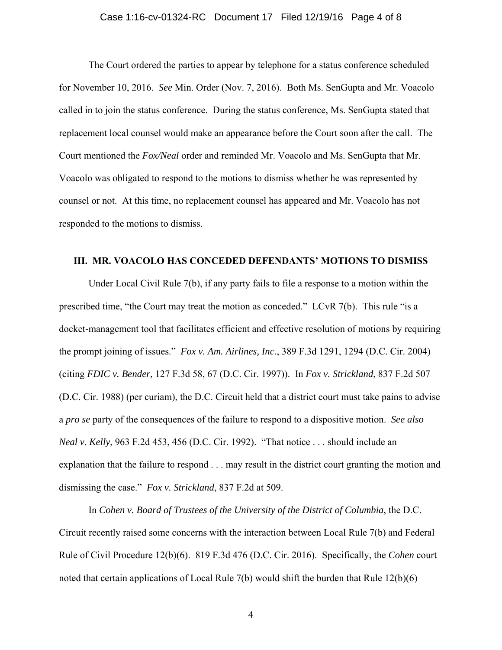# Case 1:16-cv-01324-RC Document 17 Filed 12/19/16 Page 4 of 8

The Court ordered the parties to appear by telephone for a status conference scheduled for November 10, 2016. *See* Min. Order (Nov. 7, 2016). Both Ms. SenGupta and Mr. Voacolo called in to join the status conference. During the status conference, Ms. SenGupta stated that replacement local counsel would make an appearance before the Court soon after the call. The Court mentioned the *Fox/Neal* order and reminded Mr. Voacolo and Ms. SenGupta that Mr. Voacolo was obligated to respond to the motions to dismiss whether he was represented by counsel or not. At this time, no replacement counsel has appeared and Mr. Voacolo has not responded to the motions to dismiss.

# **III. MR. VOACOLO HAS CONCEDED DEFENDANTS' MOTIONS TO DISMISS**

Under Local Civil Rule 7(b), if any party fails to file a response to a motion within the prescribed time, "the Court may treat the motion as conceded." LCvR 7(b). This rule "is a docket-management tool that facilitates efficient and effective resolution of motions by requiring the prompt joining of issues." *Fox v. Am. Airlines, Inc.*, 389 F.3d 1291, 1294 (D.C. Cir. 2004) (citing *FDIC v. Bender*, 127 F.3d 58, 67 (D.C. Cir. 1997)). In *Fox v. Strickland*, 837 F.2d 507 (D.C. Cir. 1988) (per curiam), the D.C. Circuit held that a district court must take pains to advise a *pro se* party of the consequences of the failure to respond to a dispositive motion. *See also Neal v. Kelly*, 963 F.2d 453, 456 (D.C. Cir. 1992). "That notice . . . should include an explanation that the failure to respond . . . may result in the district court granting the motion and dismissing the case." *Fox v. Strickland*, 837 F.2d at 509.

In *Cohen v. Board of Trustees of the University of the District of Columbia*, the D.C. Circuit recently raised some concerns with the interaction between Local Rule 7(b) and Federal Rule of Civil Procedure 12(b)(6). 819 F.3d 476 (D.C. Cir. 2016). Specifically, the *Cohen* court noted that certain applications of Local Rule 7(b) would shift the burden that Rule 12(b)(6)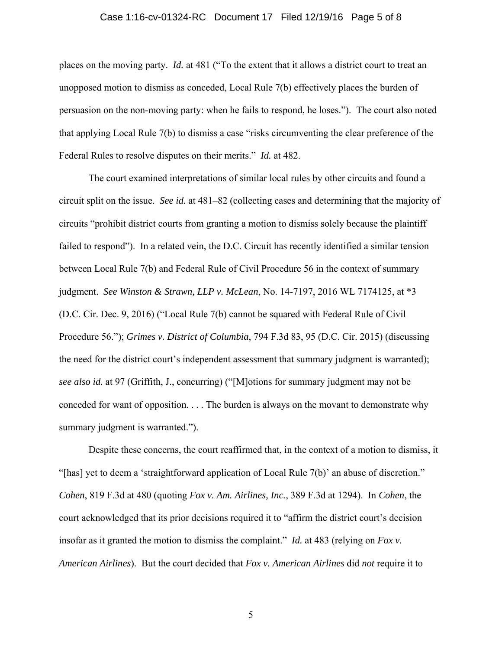# Case 1:16-cv-01324-RC Document 17 Filed 12/19/16 Page 5 of 8

places on the moving party. *Id.* at 481 ("To the extent that it allows a district court to treat an unopposed motion to dismiss as conceded, Local Rule 7(b) effectively places the burden of persuasion on the non-moving party: when he fails to respond, he loses."). The court also noted that applying Local Rule 7(b) to dismiss a case "risks circumventing the clear preference of the Federal Rules to resolve disputes on their merits." *Id.* at 482.

The court examined interpretations of similar local rules by other circuits and found a circuit split on the issue. *See id.* at 481–82 (collecting cases and determining that the majority of circuits "prohibit district courts from granting a motion to dismiss solely because the plaintiff failed to respond"). In a related vein, the D.C. Circuit has recently identified a similar tension between Local Rule 7(b) and Federal Rule of Civil Procedure 56 in the context of summary judgment. *See Winston & Strawn, LLP v. McLean*, No. 14-7197, 2016 WL 7174125, at \*3 (D.C. Cir. Dec. 9, 2016) ("Local Rule 7(b) cannot be squared with Federal Rule of Civil Procedure 56."); *Grimes v. District of Columbia*, 794 F.3d 83, 95 (D.C. Cir. 2015) (discussing the need for the district court's independent assessment that summary judgment is warranted); *see also id.* at 97 (Griffith, J., concurring) ("[M]otions for summary judgment may not be conceded for want of opposition. . . . The burden is always on the movant to demonstrate why summary judgment is warranted.").

Despite these concerns, the court reaffirmed that, in the context of a motion to dismiss, it "[has] yet to deem a 'straightforward application of Local Rule 7(b)' an abuse of discretion." *Cohen*, 819 F.3d at 480 (quoting *Fox v. Am. Airlines, Inc.*, 389 F.3d at 1294). In *Cohen*, the court acknowledged that its prior decisions required it to "affirm the district court's decision insofar as it granted the motion to dismiss the complaint." *Id.* at 483 (relying on *Fox v. American Airlines*). But the court decided that *Fox v. American Airlines* did *not* require it to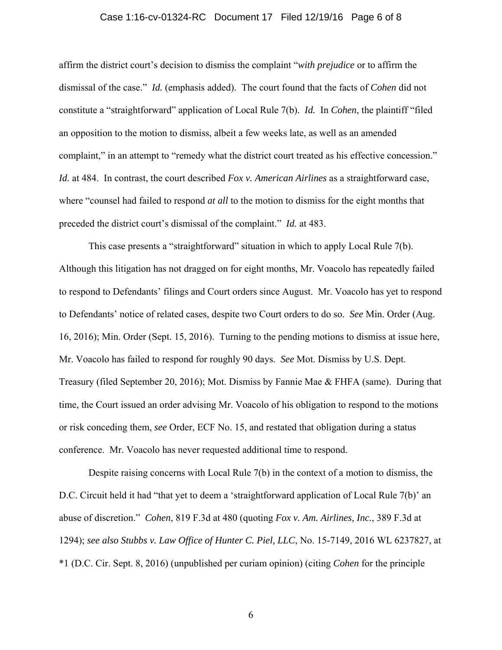# Case 1:16-cv-01324-RC Document 17 Filed 12/19/16 Page 6 of 8

affirm the district court's decision to dismiss the complaint "*with prejudice* or to affirm the dismissal of the case." *Id.* (emphasis added). The court found that the facts of *Cohen* did not constitute a "straightforward" application of Local Rule 7(b). *Id.* In *Cohen*, the plaintiff "filed an opposition to the motion to dismiss, albeit a few weeks late, as well as an amended complaint," in an attempt to "remedy what the district court treated as his effective concession." *Id.* at 484. In contrast, the court described *Fox v. American Airlines* as a straightforward case, where "counsel had failed to respond *at all* to the motion to dismiss for the eight months that preceded the district court's dismissal of the complaint." *Id.* at 483.

This case presents a "straightforward" situation in which to apply Local Rule 7(b). Although this litigation has not dragged on for eight months, Mr. Voacolo has repeatedly failed to respond to Defendants' filings and Court orders since August. Mr. Voacolo has yet to respond to Defendants' notice of related cases, despite two Court orders to do so. *See* Min. Order (Aug. 16, 2016); Min. Order (Sept. 15, 2016). Turning to the pending motions to dismiss at issue here, Mr. Voacolo has failed to respond for roughly 90 days. *See* Mot. Dismiss by U.S. Dept. Treasury (filed September 20, 2016); Mot. Dismiss by Fannie Mae & FHFA (same). During that time, the Court issued an order advising Mr. Voacolo of his obligation to respond to the motions or risk conceding them, *see* Order, ECF No. 15, and restated that obligation during a status conference. Mr. Voacolo has never requested additional time to respond.

Despite raising concerns with Local Rule 7(b) in the context of a motion to dismiss, the D.C. Circuit held it had "that yet to deem a 'straightforward application of Local Rule 7(b)' an abuse of discretion." *Cohen*, 819 F.3d at 480 (quoting *Fox v. Am. Airlines, Inc.*, 389 F.3d at 1294); *see also Stubbs v. Law Office of Hunter C. Piel, LLC*, No. 15-7149, 2016 WL 6237827, at \*1 (D.C. Cir. Sept. 8, 2016) (unpublished per curiam opinion) (citing *Cohen* for the principle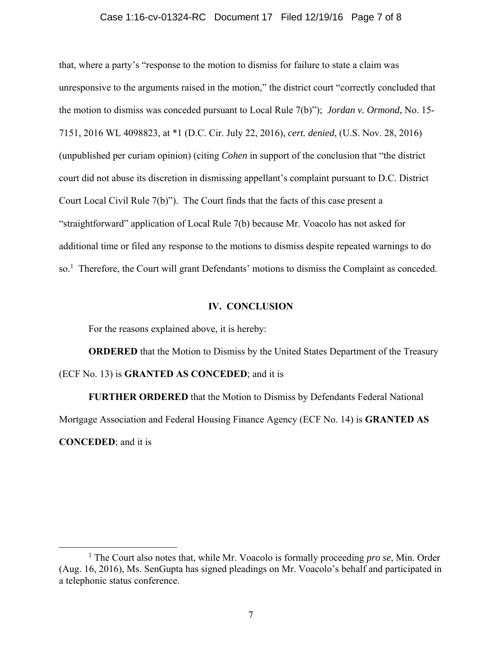# Case 1:16-cv-01324-RC Document 17 Filed 12/19/16 Page 7 of 8

that, where a party's "response to the motion to dismiss for failure to state a claim was unresponsive to the arguments raised in the motion," the district court "correctly concluded that the motion to dismiss was conceded pursuant to Local Rule 7(b)"); *Jordan v. Ormond*, No. 15- 7151, 2016 WL 4098823, at \*1 (D.C. Cir. July 22, 2016), *cert. denied*, (U.S. Nov. 28, 2016) (unpublished per curiam opinion) (citing *Cohen* in support of the conclusion that "the district court did not abuse its discretion in dismissing appellant's complaint pursuant to D.C. District Court Local Civil Rule 7(b)"). The Court finds that the facts of this case present a "straightforward" application of Local Rule 7(b) because Mr. Voacolo has not asked for additional time or filed any response to the motions to dismiss despite repeated warnings to do so.<sup>1</sup> Therefore, the Court will grant Defendants' motions to dismiss the Complaint as conceded.

#### **IV. CONCLUSION**

For the reasons explained above, it is hereby:

**ORDERED** that the Motion to Dismiss by the United States Department of the Treasury (ECF No. 13) is **GRANTED AS CONCEDED**; and it is

**FURTHER ORDERED** that the Motion to Dismiss by Defendants Federal National Mortgage Association and Federal Housing Finance Agency (ECF No. 14) is **GRANTED AS CONCEDED**; and it is

 $\frac{1}{1}$ <sup>1</sup> The Court also notes that, while Mr. Voacolo is formally proceeding *pro se*, Min. Order (Aug. 16, 2016), Ms. SenGupta has signed pleadings on Mr. Voacolo's behalf and participated in a telephonic status conference.